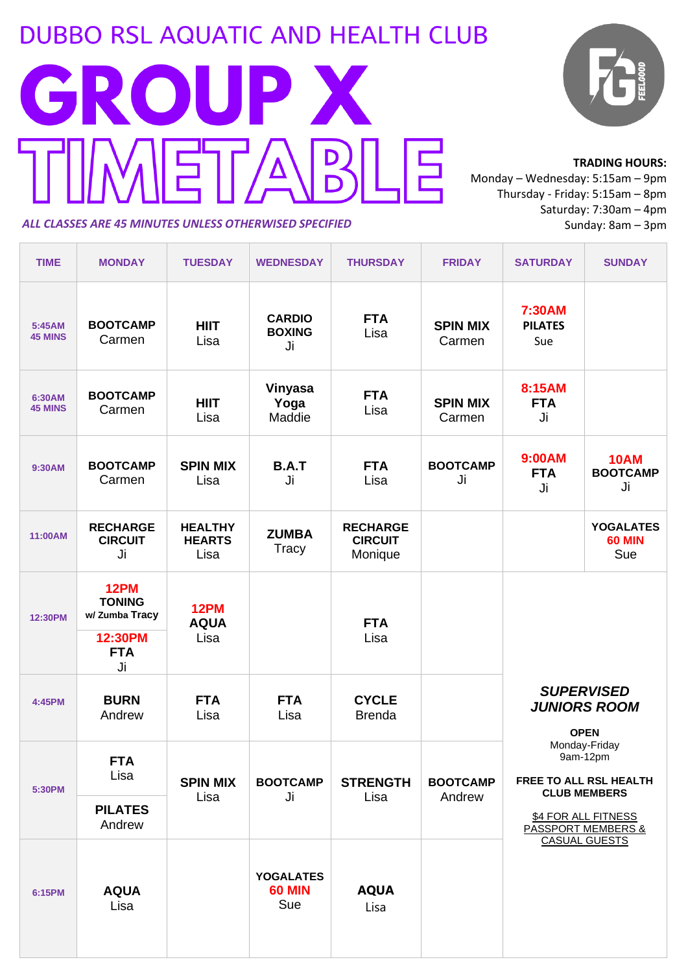## **DUBBO RSL AQUATIC AND HEALTH CLUB**



#### **TRADING HOURS:**

Monday – Wednesday: 5:15am – 9pm Thursday - Friday: 5:15am – 8pm Saturday: 7:30am – 4pm Sunday: 8am – 3pm

#### *ALL CLASSES ARE 45 MINUTES UNLESS OTHERWISED SPECIFIED*

<u> Tanzania de la contrada de la contrada de la contrada de la contrada de la contrada de la contrada de la con</u>

| <b>TIME</b>              | <b>MONDAY</b>                                                                 | <b>TUESDAY</b>                          | <b>WEDNESDAY</b>                         | <b>THURSDAY</b>                              | <b>FRIDAY</b>             | <b>SATURDAY</b>                                                                                                                                                                                                | <b>SUNDAY</b>                            |
|--------------------------|-------------------------------------------------------------------------------|-----------------------------------------|------------------------------------------|----------------------------------------------|---------------------------|----------------------------------------------------------------------------------------------------------------------------------------------------------------------------------------------------------------|------------------------------------------|
| 5:45AM<br><b>45 MINS</b> | <b>BOOTCAMP</b><br>Carmen                                                     | <b>HIIT</b><br>Lisa                     | <b>CARDIO</b><br><b>BOXING</b><br>Ji     | <b>FTA</b><br>Lisa                           | <b>SPIN MIX</b><br>Carmen | 7:30AM<br><b>PILATES</b><br>Sue                                                                                                                                                                                |                                          |
| 6:30AM<br><b>45 MINS</b> | <b>BOOTCAMP</b><br>Carmen                                                     | <b>HIIT</b><br>Lisa                     | Vinyasa<br>Yoga<br>Maddie                | <b>FTA</b><br>Lisa                           | <b>SPIN MIX</b><br>Carmen | 8:15AM<br><b>FTA</b><br>Ji                                                                                                                                                                                     |                                          |
| 9:30AM                   | <b>BOOTCAMP</b><br>Carmen                                                     | <b>SPIN MIX</b><br>Lisa                 | <b>B.A.T</b><br>Ji                       | <b>FTA</b><br>Lisa                           | <b>BOOTCAMP</b><br>Ji     | 9:00AM<br><b>FTA</b><br>Ji                                                                                                                                                                                     | <b>10AM</b><br><b>BOOTCAMP</b><br>Ji     |
| 11:00AM                  | <b>RECHARGE</b><br><b>CIRCUIT</b><br>Ji                                       | <b>HEALTHY</b><br><b>HEARTS</b><br>Lisa | <b>ZUMBA</b><br>Tracy                    | <b>RECHARGE</b><br><b>CIRCUIT</b><br>Monique |                           |                                                                                                                                                                                                                | <b>YOGALATES</b><br><b>60 MIN</b><br>Sue |
| 12:30PM                  | <b>12PM</b><br><b>TONING</b><br>w/ Zumba Tracy<br>12:30PM<br><b>FTA</b><br>Ji | 12PM<br><b>AQUA</b><br>Lisa             |                                          | <b>FTA</b><br>Lisa                           |                           |                                                                                                                                                                                                                |                                          |
| 4:45PM                   | <b>BURN</b><br>Andrew                                                         | <b>FTA</b><br>Lisa                      | <b>FTA</b><br>Lisa                       | <b>CYCLE</b><br><b>Brenda</b>                |                           | <b>SUPERVISED</b><br><b>JUNIORS ROOM</b><br><b>OPEN</b><br>Monday-Friday<br>9am-12pm<br>FREE TO ALL RSL HEALTH<br><b>CLUB MEMBERS</b><br>\$4 FOR ALL FITNESS<br><b>PASSPORT MEMBERS &amp;</b><br>CASUAL GUESTS |                                          |
| 5:30PM                   | <b>FTA</b><br>Lisa                                                            | <b>SPIN MIX</b><br>Lisa                 | <b>BOOTCAMP</b><br>Ji                    | <b>STRENGTH</b><br>Lisa                      | <b>BOOTCAMP</b><br>Andrew |                                                                                                                                                                                                                |                                          |
|                          | <b>PILATES</b><br>Andrew                                                      |                                         |                                          |                                              |                           |                                                                                                                                                                                                                |                                          |
| 6:15PM                   | <b>AQUA</b><br>Lisa                                                           |                                         | <b>YOGALATES</b><br><b>60 MIN</b><br>Sue | <b>AQUA</b><br>Lisa                          |                           |                                                                                                                                                                                                                |                                          |